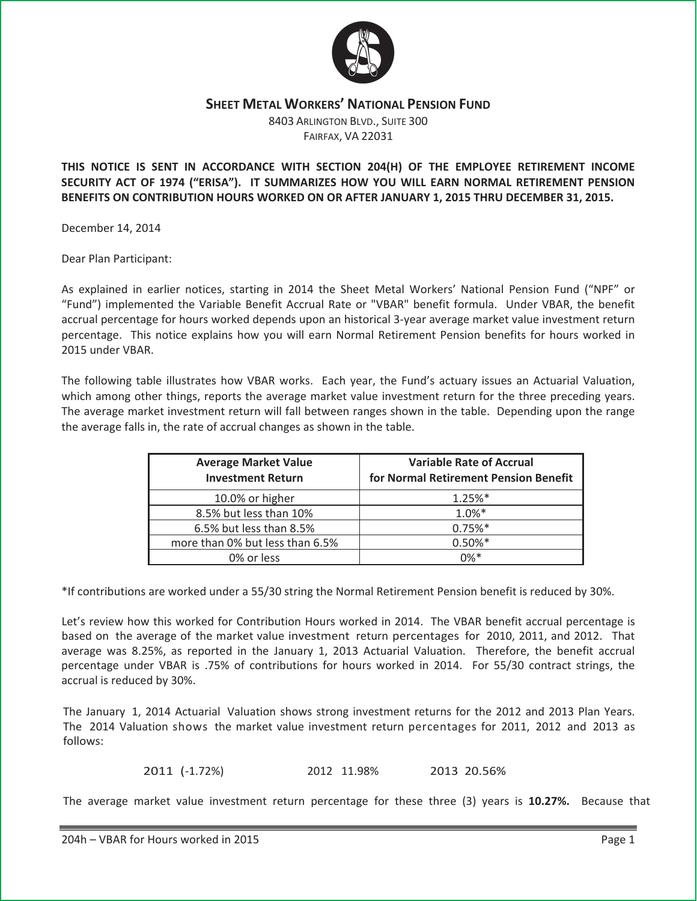

## **SHEET METAL WORKERS' NATIONAL PENSION FUND**

8403 ARLINGTON BLVD., SUITE 300 FAIRFAX, VA 22031

## **THIS NOTICE IS SENT IN ACCORDANCE WITH SECTION 204(H) OF THE EMPLOYEE RETIREMENT INCOME SECURITY ACT OF 1974 ("ERISA"). IT SUMMARIZES HOW YOU WILL EARN NORMAL RETIREMENT PENSION BENEFITS ON CONTRIBUTION HOURS WORKED ON OR AFTER JANUARY 1, 2015 THRU DECEMBER 31, 2015.**

December 14, 2014

Dear Plan Participant:

As explained in earlier notices, starting in 2014 the Sheet Metal Workers' National Pension Fund ("NPF" or "Fund") implemented the Variable Benefit Accrual Rate or "VBAR" benefit formula. Under VBAR, the benefit accrual percentage for hours worked depends upon an historical 3-year average market value investment return percentage. This notice explains how you will earn Normal Retirement Pension benefits for hours worked in 2015 under VBAR.

The following table illustrates how VBAR works. Each year, the Fund's actuary issues an Actuarial Valuation, which among other things, reports the average market value investment return for the three preceding years. The average market investment return will fall between ranges shown in the table. Depending upon the range the average falls in, the rate of accrual changes as shown in the table.

| <b>Average Market Value</b><br><b>Investment Return</b> | <b>Variable Rate of Accrual</b><br>for Normal Retirement Pension Benefit |
|---------------------------------------------------------|--------------------------------------------------------------------------|
| 10.0% or higher                                         | $1.25%$ *                                                                |
| 8.5% but less than 10%                                  | $1.0%$ *                                                                 |
| 6.5% but less than 8.5%                                 | $0.75%$ *                                                                |
| more than 0% but less than 6.5%                         | $0.50\%*$                                                                |
| 0% or less                                              | $0\%*$                                                                   |

\*If contributions are worked under a 55/30 string the Normal Retirement Pension benefit is reduced by 30%.

Let's review how this worked for Contribution Hours worked in 2014. The VBAR benefit accrual percentage is based on the average of the market value investment return percentages for 2010, 2011, and 2012. That average was 8.25%, as reported in the January 1, 2013 Actuarial Valuation. Therefore, the benefit accrual percentage under VBAR is .75% of contributions for hours worked in 2014. For 55/30 contract strings, the accrual is reduced by 30%.

The January 1, 2014 Actuarial Valuation shows strong investment returns for the 2012 and 2013 Plan Years. The 2014 Valuation shows the market value investment return percentages for 2011, 2012 and 2013 as follows:

2011 (-1.72%) 2012 11.98% 2013 20.56%

The average market value investment return percentage for these three (3) years is **10.27%.**  Because that